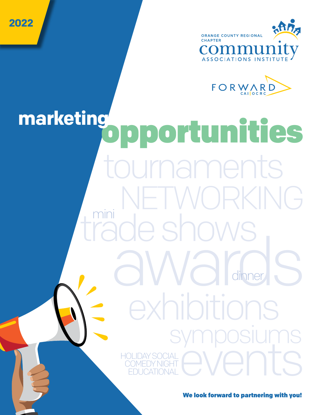



trade shows naments aug a ruvva<br>a Mariera events dinner mini exhibitions symposiums KING opportunities **marketing** HOLIDAY SOCIAL COMEDY NIGHT EDUCATIONAL

**2022**

We look forward to partnering with you!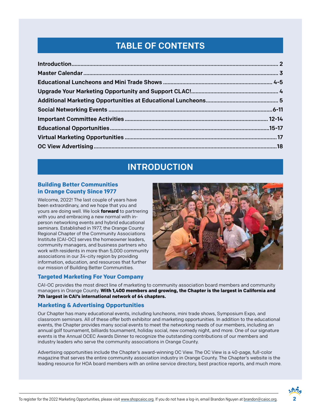# TABLE OF CONTENTS

# INTRODUCTION

#### **Building Better Communities in Orange County Since 1977**

Welcome, 2022! The last couple of years have been extraordinary, and we hope that you and yours are doing well. We look **forward** to partnering with you and embracing a new normal with inperson networking events and hybrid educational seminars. Established in 1977, the Orange County Regional Chapter of the Community Associations Institute (CAI-OC) serves the homeowner leaders, community managers, and business partners who work with residents in more than 5,000 community associations in our 34-city region by providing information, education, and resources that further our mission of Building Better Communities.



#### **Targeted Marketing For Your Company**

CAI-OC provides the most direct line of marketing to community association board members and community managers in Orange County. **With 1,400 members and growing, the Chapter is the largest in California and 7th largest in CAI's international network of 64 chapters.**

#### **Marketing & Advertising Opportunities**

Our Chapter has many educational events, including luncheons, mini trade shows, Symposium Expo, and classroom seminars. All of these offer both exhibitor and marketing opportunities. In addition to the educational events, the Chapter provides many social events to meet the networking needs of our members, including an annual golf tournament, billiards tournament, holiday social, new comedy night, and more. One of our signature events is the Annual OCEC Awards Dinner to recognize the outstanding contributions of our members and industry leaders who serve the community associations in Orange County.

Advertising opportunities include the Chapter's award-winning OC View. The OC View is a 40-page, full-color magazine that serves the entire community association industry in Orange County. The Chapter's website is the leading resource for HOA board members with an online service directory, best practice reports, and much more.

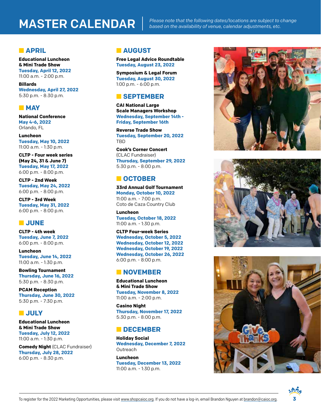# MASTER CALENDAR

*Please note that the following dates/locations are subject to change based on the availability of venue, calendar adjustments, etc.*

#### **n** APRIL

**Educational Luncheon & Mini Trade Show Tuesday, April 12, 2022** 11:00 a.m. - 2:00 p.m.

**Billards Wednesday, April 27, 2022** 5:30 p.m. - 8:30 p.m.

#### **NAY**

**National Conference May 4-6, 2022** Orlando, FL

**Luncheon Tuesday, May 10, 2022** 11:00 a.m. - 1:30 p.m.

**CLTP - Four week series (May 24, 31 & June 7) Tuesday, May 17, 2022** 6:00 p.m. - 8:00 p.m.

**CLTP - 2nd Week Tuesday, May 24, 2022** 6:00 p.m. - 8:00 p.m.

**CLTP - 3rd Week Tuesday, May 31, 2022** 6:00 p.m. - 8:00 p.m.

#### n **JUNE**

**CLTP - 4th week Tuesday, June 7, 2022** 6:00 p.m. - 8:00 p.m.

**Luncheon Tuesday, June 14, 2022** 11:00 a.m. - 1:30 p.m.

**Bowling Tournament Thursday, June 16, 2022** 5:30 p.m. - 8:30 p.m.

**PCAM Reception Thursday, June 30, 2022** 5:30 p.m. - 7:30 p.m.

#### **n** JULY

**Educational Luncheon & Mini Trade Show Tuesday, July 12, 2022** 11:00 a.m. - 1:30 p.m.

**Comedy Night** (CLAC Fundraiser) **Thursday, July 28, 2022** 6:00 p.m. - 8:30 p.m.

#### **n** AUGUST

**Free Legal Advice Roundtable Tuesday, August 23, 2022**

**Symposium & Legal Forum Tuesday, August 30, 2022** 1:00 p.m. - 6:00 p.m.

#### n **SEPTEMBER**

**CAI National Large Scale Managers Workshop Wednesday, September 14th - Friday, September 16th**

**Reverse Trade Show Tuesday, September 20, 2022 TRD** 

**Cook's Corner Concert**  (CLAC Fundraiser) **Thursday, September 29, 2022** 5:30 p.m. - 8:00 p.m.

#### **n** OCTOBER

**33rd Annual Golf Tournament Monday, October 10, 2022** 11:00 a.m. - 7:00 p.m. Coto de Caza Country Club

**Luncheon Tuesday, October 18, 2022** 11:00 a.m. - 1:30 p.m.

**CLTP Four-week Series Wednesday, October 5, 2022 Wednesday, October 12, 2022 Wednesday, October 19, 2022 Wednesday, October 26, 2022** 6:00 p.m. - 8:00 p.m.

#### **NOVEMBER**

**Educational Luncheon & Mini Trade Show Tuesday, November 8, 2022** 11:00 a.m. - 2:00 p.m.

**Casino Night Thursday, November 17, 2022** 5:30 p.m. - 8:00 p.m.

#### **n** DECEMBER

**Holiday Social Wednesday, December 7, 2022 Outreach** 

**Luncheon Tuesday, December 13, 2022** 11:00 a.m. - 1:30 p.m.







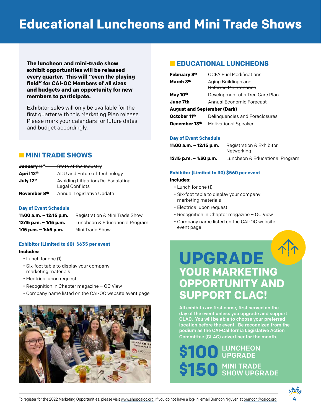# **Educational Luncheons and Mini Trade Shows**

**The luncheon and mini-trade show exhibit opportunities will be released every quarter. This will "even the playing field" for CAI-OC Members of all sizes and budgets and an opportunity for new members to participate.**

Exhibitor sales will only be available for the first quarter with this Marketing Plan release. Please mark your calendars for future dates and budget accordingly.

#### **NINI TRADE SHOWS**

| <del>January 11</del> th | State of the Industry                                |
|--------------------------|------------------------------------------------------|
| April 12th               | ADU and Future of Technology                         |
| July 12th                | Avoiding Litigation/De-Escalating<br>Legal Conflicts |
| November 8th             | Annual Legislative Update                            |

#### **Day of Event Schedule**

| $11:00$ a.m. $-12:15$ p.m. | Registration & Mini Trade Show |
|----------------------------|--------------------------------|
| $12:15$ p.m. $-1:15$ p.m.  | Luncheon & Educational Program |
| $1:15$ p.m. $-1:45$ p.m.   | Mini Trade Show                |

#### **Exhibitor (Limited to 60) \$635 per event**

#### **Includes:**

- Lunch for one (1)
- Six-foot table to display your company marketing materials
- Electrical upon request
- Recognition in Chapter magazine OC View
- Company name listed on the CAI-OC website event page



#### **N** EDUCATIONAL LUNCHEONS

| February 8 <sup>th</sup>           | OCFA Fuel Modifications                            |
|------------------------------------|----------------------------------------------------|
| March 8 <sup>th</sup>              | Aging Buildings and<br><b>Deferred Maintenance</b> |
| May 10th                           | Development of a Tree Care Plan                    |
| June 7th                           | Annual Fconomic Forecast                           |
| <b>August and September (Dark)</b> |                                                    |
| October 11th                       | Delinguencies and Foreclosures                     |
| December 13th                      | <b>Motivational Speaker</b>                        |

#### **Day of Event Schedule**

| 11:00 a.m. – 12:15 p.m. | Registration & Exhibitor<br>Networking |
|-------------------------|----------------------------------------|
| 12:15 p.m. – 1:30 p.m.  | Luncheon & Educational Program         |

#### **Exhibitor (Limited to 30) \$560 per event Includes:**

- Lunch for one (1)
- Six-foot table to display your company marketing materials
- Electrical upon request
- Recognition in Chapter magazine OC View
- Company name listed on the CAI-OC website event page

# **UPGRADE YOUR MARKETING OPPORTUNITY AND SUPPORT CLAC!**

All exhibits are first come, first served on the day of the event unless you upgrade and support CLAC. You will be able to choose your preferred location before the event. Be recognized from the podium as the CAI-California Legislative Action Committee (CLAC) advertiser for the month.

# LUNCHEON \$100 LUNCHEO MINI TRADE \$150 MINI TRADE

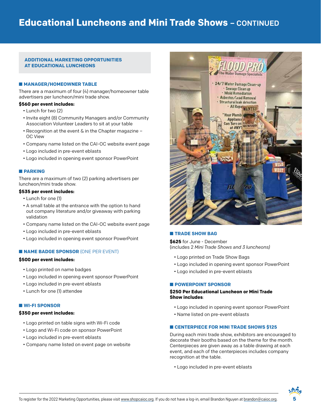#### **ADDITIONAL MARKETING OPPORTUNITIES AT EDUCATIONAL LUNCHEONS**

#### $M$  **MANAGER/HOMEOWNER TABLE**

There are a maximum of four (4) manager/homeowner table advertisers per luncheon/mini trade show.

#### **\$560 per event includes:**

- Lunch for two (2)
- Invite eight (8) Community Managers and/or Community Association Volunteer Leaders to sit at your table
- Recognition at the event & in the Chapter magazine OC View
- Company name listed on the CAI-OC website event page
- Logo included in pre-event eblasts
- Logo included in opening event sponsor PowerPoint

#### **N** PARKING

There are a maximum of two (2) parking advertisers per luncheon/mini trade show.

#### **\$535 per event includes:**

- Lunch for one (1)
- A small table at the entrance with the option to hand out company literature and/or giveaway with parking validation
- Company name listed on the CAI-OC website event page
- Logo included in pre-event eblasts
- Logo included in opening event sponsor PowerPoint

#### **NAME BADGE SPONSOR (ONE PER EVENT)**

#### **\$500 per event includes:**

- Logo printed on name badges
- Logo included in opening event sponsor PowerPoint
- Logo included in pre-event eblasts
- Lunch for one (1) attendee

#### n **WI-FI SPONSOR**

#### **\$350 per event includes:**

- Logo printed on table signs with Wi-Fi code
- Logo and Wi-Fi code on sponsor PowerPoint
- Logo included in pre-event eblasts
- Company name listed on event page on website



#### **N** TRADE SHOW BAG

**\$625** for June - December (includes 2 *Mini Trade Shows and 3 luncheons)*

- Logo printed on Trade Show Bags
- Logo included in opening event sponsor PowerPoint
- Logo included in pre-event eblasts

#### n **POWERPOINT SPONSOR**

#### **\$250 Per Educational Luncheon or Mini Trade Show includes**:

- Logo included in opening event sponsor PowerPoint
- Name listed on pre-event eblasts

#### $E$  **CENTERPIECE FOR MINI TRADE SHOWS \$125**

During each mini trade show, exhibitors are encouraged to decorate their booths based on the theme for the month. Centerpieces are given away as a table drawing at each event, and each of the centerpieces includes company recognition at the table.

• Logo included in pre-event eblasts

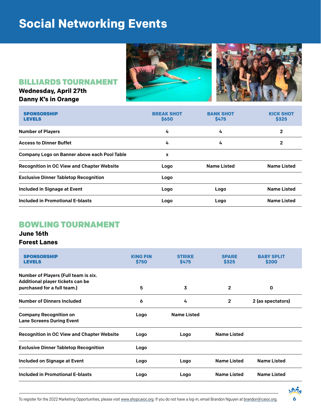# **Social Networking Events**



### BILLIARDS TOURNAMENT

### **Wednesday, April 27th Danny K's in Orange**

| <b>SPONSORSHIP</b><br><b>LEVELS</b>               | <b>BREAK SHOT</b><br>\$650 | <b>BANK SHOT</b><br><b>\$475</b> | <b>KICK SHOT</b><br>\$325 |
|---------------------------------------------------|----------------------------|----------------------------------|---------------------------|
| <b>Number of Players</b>                          | 4                          | 4                                | $\overline{2}$            |
| <b>Access to Dinner Buffet</b>                    | 4                          | 4                                | 2                         |
| Company Logo on Banner above each Pool Table      | x                          |                                  |                           |
| <b>Recognition in OC View and Chapter Website</b> | Logo                       | <b>Name Listed</b>               | <b>Name Listed</b>        |
| <b>Exclusive Dinner Tabletop Recognition</b>      | Logo                       |                                  |                           |
| Included in Signage at Event                      | Logo                       | Logo                             | <b>Name Listed</b>        |
| Included in Promotional E-blasts                  | Logo                       | Logo                             | <b>Name Listed</b>        |

# BOWLING TOURNAMENT

#### **June 16th Forest Lanes**

| <b>SPONSORSHIP</b><br><b>LEVELS</b>                                                                     | <b>KING PIN</b><br>\$750 | <b>STRIKE</b><br>\$475 | <b>SPARE</b><br>\$325 | <b>BABY SPLIT</b><br>\$200 |
|---------------------------------------------------------------------------------------------------------|--------------------------|------------------------|-----------------------|----------------------------|
| Number of Players (Full team is six.<br>Additional player tickets can be<br>purchased for a full team.) | 5                        | 3                      | 2                     | 0                          |
| <b>Number of Dinners Included</b>                                                                       | 6                        | 4                      | 2                     | 2 (as spectators)          |
| <b>Company Recognition on</b><br><b>Lane Screens During Event</b>                                       | Logo                     | <b>Name Listed</b>     |                       |                            |
| <b>Recognition in OC View and Chapter Website</b>                                                       | Logo                     | Logo                   | <b>Name Listed</b>    |                            |
| <b>Exclusive Dinner Tabletop Recognition</b>                                                            | Logo                     |                        |                       |                            |
| Included on Signage at Event                                                                            | Logo                     | Logo                   | <b>Name Listed</b>    | <b>Name Listed</b>         |
| Included in Promotional E-blasts                                                                        | Logo                     | Logo                   | <b>Name Listed</b>    | <b>Name Listed</b>         |

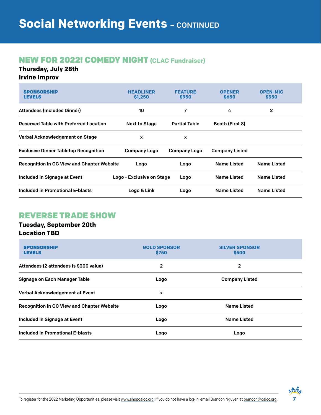## NEW FOR 2022! COMEDY NIGHT **(CLAC Fundraiser)**

#### **Thursday, July 28th**

#### **Irvine Improv**

| <b>SPONSORSHIP</b><br><b>LEVELS</b>               | <b>HEADLINER</b><br>\$1,250 | <b>FEATURE</b><br><b>S950</b> | <b>OPENER</b><br><b>S650</b> | <b>OPEN-MIC</b><br>\$350 |
|---------------------------------------------------|-----------------------------|-------------------------------|------------------------------|--------------------------|
| <b>Attendees (Includes Dinner)</b>                | 10                          | 7                             | 4                            | 2                        |
| <b>Reserved Table with Preferred Location</b>     | <b>Next to Stage</b>        | <b>Partial Table</b>          | Booth (First 8)              |                          |
| Verbal Acknowledgement on Stage                   | x                           | x                             |                              |                          |
| <b>Exclusive Dinner Tabletop Recognition</b>      | <b>Company Logo</b>         | <b>Company Logo</b>           | <b>Company Listed</b>        |                          |
| <b>Recognition in OC View and Chapter Website</b> | Logo                        | Logo                          | <b>Name Listed</b>           | <b>Name Listed</b>       |
| Included in Signage at Event                      | Logo - Exclusive on Stage   | Logo                          | <b>Name Listed</b>           | <b>Name Listed</b>       |
| Included in Promotional E-blasts                  | Logo & Link                 | Logo                          | <b>Name Listed</b>           | <b>Name Listed</b>       |

# REVERSE TRADE SHOW

#### **Tuesday, September 20th Location TBD**

| <b>SPONSORSHIP</b><br><b>LEVELS</b>               | <b>GOLD SPONSOR</b><br>\$750 | <b>SILVER SPONSOR</b><br>\$500 |  |
|---------------------------------------------------|------------------------------|--------------------------------|--|
| Attendees (2 attendees is \$300 value)            | $\mathbf{2}$                 | 2                              |  |
| Signage on Each Manager Table                     | Logo                         | <b>Company Listed</b>          |  |
| Verbal Acknowledgement at Event                   | x                            |                                |  |
| <b>Recognition in OC View and Chapter Website</b> | Logo                         | <b>Name Listed</b>             |  |
| Included in Signage at Event                      | Logo                         | <b>Name Listed</b>             |  |
| <b>Included in Promotional E-blasts</b>           | Logo                         | Logo                           |  |

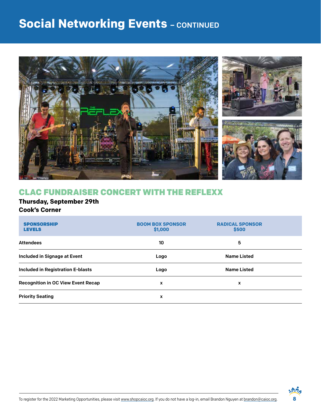# **Social Networking Events - CONTINUED**



# CLAC FUNDRAISER CONCERT WITH THE REFLEXX

#### **Thursday, September 29th Cook's Corner**

| <b>SPONSORSHIP</b><br><b>LEVELS</b>       | <b>BOOM BOX SPONSOR</b><br>\$1,000 | <b>RADICAL SPONSOR</b><br>\$500 |  |
|-------------------------------------------|------------------------------------|---------------------------------|--|
| <b>Attendees</b>                          | 10                                 | 5                               |  |
| Included in Signage at Event              | Logo                               | <b>Name Listed</b>              |  |
| <b>Included in Registration E-blasts</b>  | Logo                               | <b>Name Listed</b>              |  |
| <b>Recognition in OC View Event Recap</b> | x                                  | X                               |  |
| <b>Priority Seating</b>                   | x                                  |                                 |  |

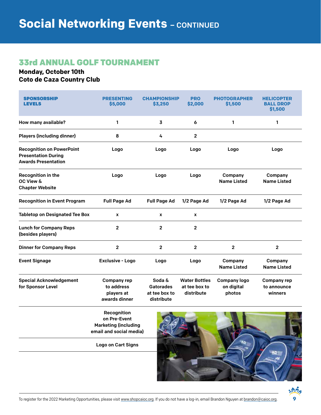## 33rd ANNUAL GOLF TOURNAMENT

#### **Monday, October 10th Coto de Caza Country Club**

| <b>SPONSORSHIP</b><br><b>LEVELS</b>                                                          | <b>PRESENTING</b><br>\$5,000                                                                                       | <b>CHAMPIONSHIP</b><br>\$3,250                            | <b>PRO</b><br>\$2,000                               | <b>PHOTOGRAPHER</b><br>\$1,500              | <b>HELICOPTER</b><br><b>BALL DROP</b><br>\$1,500 |
|----------------------------------------------------------------------------------------------|--------------------------------------------------------------------------------------------------------------------|-----------------------------------------------------------|-----------------------------------------------------|---------------------------------------------|--------------------------------------------------|
| How many available?                                                                          | 1                                                                                                                  | 3                                                         | 6                                                   | 1                                           | 1                                                |
| <b>Players (including dinner)</b>                                                            | 8                                                                                                                  | 4                                                         | 2                                                   |                                             |                                                  |
| <b>Recognition on PowerPoint</b><br><b>Presentation During</b><br><b>Awards Presentation</b> | Logo                                                                                                               | Logo                                                      | Logo                                                | Logo                                        | Logo                                             |
| Recognition in the<br>OC View &<br><b>Chapter Website</b>                                    | Logo                                                                                                               | Logo                                                      | Logo                                                | Company<br><b>Name Listed</b>               | Company<br><b>Name Listed</b>                    |
| <b>Recognition in Event Program</b>                                                          | <b>Full Page Ad</b>                                                                                                | <b>Full Page Ad</b>                                       | 1/2 Page Ad                                         | 1/2 Page Ad                                 | 1/2 Page Ad                                      |
| <b>Tabletop on Designated Tee Box</b>                                                        | X                                                                                                                  | X                                                         | X                                                   |                                             |                                                  |
| <b>Lunch for Company Reps</b><br>(besides players)                                           | $\overline{2}$                                                                                                     | $\mathbf{2}$                                              | $\mathbf{2}$                                        |                                             |                                                  |
| <b>Dinner for Company Reps</b>                                                               | $\overline{2}$                                                                                                     | $\mathbf{2}$                                              | $\overline{2}$                                      | $\overline{2}$                              | $\overline{2}$                                   |
| <b>Event Signage</b>                                                                         | Exclusive - Logo                                                                                                   | Logo                                                      | Logo                                                | Company<br><b>Name Listed</b>               | Company<br><b>Name Listed</b>                    |
| <b>Special Acknowledgement</b><br>for Sponsor Level                                          | <b>Company rep</b><br>to address<br>players at<br>awards dinner                                                    | Soda &<br><b>Gatorades</b><br>at tee box to<br>distribute | <b>Water Bottles</b><br>at tee box to<br>distribute | <b>Company logo</b><br>on digital<br>photos | Company rep<br>to announce<br>winners            |
|                                                                                              | Recognition<br>on Pre-Event<br><b>Marketing (including</b><br>email and social media)<br><b>Logo on Cart Signs</b> |                                                           |                                                     |                                             |                                                  |

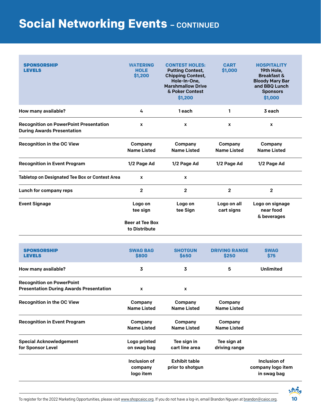# **Social Networking Events - CONTINUED**

| <b>SPONSORSHIP</b><br><b>LEVELS</b>                                                | <b>WATERING</b><br><b>HOLE</b><br>\$1,200                      | <b>CONTEST HOLES:</b><br><b>Putting Contest,</b><br><b>Chipping Contest,</b><br>Hole-In-One,<br><b>Marshmallow Drive</b><br>& Poker Contest<br>\$1,200 | <b>CART</b><br>\$1,000        | <b>HOSPITALITY</b><br>19th Hole,<br><b>Breakfast &amp;</b><br><b>Bloody Mary Bar</b><br>and BBQ Lunch<br><b>Sponsors</b><br>\$1,000 |
|------------------------------------------------------------------------------------|----------------------------------------------------------------|--------------------------------------------------------------------------------------------------------------------------------------------------------|-------------------------------|-------------------------------------------------------------------------------------------------------------------------------------|
| How many available?                                                                | 4                                                              | 1 each                                                                                                                                                 | 1                             | 3 each                                                                                                                              |
| <b>Recognition on PowerPoint Presentation</b><br><b>During Awards Presentation</b> | X                                                              | x                                                                                                                                                      | x                             | x                                                                                                                                   |
| <b>Recognition in the OC View</b>                                                  | Company<br><b>Name Listed</b>                                  | Company<br><b>Name Listed</b>                                                                                                                          | Company<br><b>Name Listed</b> | Company<br><b>Name Listed</b>                                                                                                       |
| <b>Recognition in Event Program</b>                                                | 1/2 Page Ad                                                    | 1/2 Page Ad                                                                                                                                            | 1/2 Page Ad                   | 1/2 Page Ad                                                                                                                         |
| Tabletop on Designated Tee Box or Contest Area                                     | X                                                              | X                                                                                                                                                      |                               |                                                                                                                                     |
| Lunch for company reps                                                             | $\mathbf 2$                                                    | $\overline{\mathbf{2}}$                                                                                                                                | $\mathbf{2}$                  | $\mathbf{2}$                                                                                                                        |
| <b>Event Signage</b>                                                               | Logo on<br>tee sign<br><b>Beer at Tee Box</b><br>to Distribute | Logo on<br>tee Sign                                                                                                                                    | Logo on all<br>cart signs     | Logo on signage<br>near food<br>& beverages                                                                                         |
| <b>SPONSORSHIP</b><br><b>LEVELS</b>                                                | <b>SWAG BAG</b><br>\$800                                       | <b>SHOTGUN</b><br>\$650                                                                                                                                | <b>DRIVING RANGE</b><br>\$250 | <b>SWAG</b><br>\$75                                                                                                                 |
| How many available?                                                                | 3                                                              | 3                                                                                                                                                      | 5                             | <b>Unlimited</b>                                                                                                                    |
| <b>Recognition on PowerPoint</b><br><b>Presentation During Awards Presentation</b> | X                                                              | x                                                                                                                                                      |                               |                                                                                                                                     |
| <b>Recognition in the OC View</b>                                                  | Company<br><b>Name Listed</b>                                  | Company<br><b>Name Listed</b>                                                                                                                          | Company<br><b>Name Listed</b> |                                                                                                                                     |
| <b>Recognition in Event Program</b>                                                | Company<br><b>Name Listed</b>                                  | Company<br><b>Name Listed</b>                                                                                                                          | Company<br><b>Name Listed</b> |                                                                                                                                     |
| <b>Special Acknowledgement</b><br>for Sponsor Level                                | Logo printed<br>on swag bag                                    | Tee sign in<br>cart line area                                                                                                                          | Tee sign at<br>driving range  |                                                                                                                                     |
|                                                                                    | Inclusion of<br>company<br>logo item                           | <b>Exhibit table</b><br>prior to shotgun                                                                                                               |                               | Inclusion of<br>company logo item<br>in swag bag                                                                                    |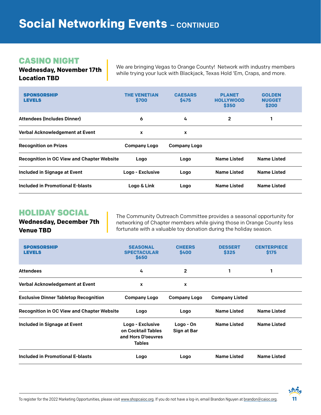## CASINO NIGHT

**Wednesday, November 17th Location TBD**

We are bringing Vegas to Orange County! Network with industry members while trying your luck with Blackjack, Texas Hold 'Em, Craps, and more.

| <b>SPONSORSHIP</b><br><b>LEVELS</b>               | <b>THE VENETIAN</b><br>\$700 | <b>CAESARS</b><br>\$475 | <b>PLANET</b><br><b>HOLLYWOOD</b><br>\$350 | <b>GOLDEN</b><br><b>NUGGET</b><br>\$200 |
|---------------------------------------------------|------------------------------|-------------------------|--------------------------------------------|-----------------------------------------|
| <b>Attendees (Includes Dinner)</b>                | 6                            | 4                       | $\mathbf{2}$                               |                                         |
| Verbal Acknowledgement at Event                   | x                            | X                       |                                            |                                         |
| <b>Recognition on Prizes</b>                      | <b>Company Logo</b>          | <b>Company Logo</b>     |                                            |                                         |
| <b>Recognition in OC View and Chapter Website</b> | Logo                         | Logo                    | <b>Name Listed</b>                         | <b>Name Listed</b>                      |
|                                                   | Logo - Exclusive             | Logo                    | <b>Name Listed</b>                         | <b>Name Listed</b>                      |
| <b>Included in Signage at Event</b>               |                              |                         |                                            |                                         |

# HOLIDAY SOCIAL

**Wednesday, December 7th Venue TBD**

The Community Outreach Committee provides a seasonal opportunity for networking of Chapter members while giving those in Orange County less fortunate with a valuable toy donation during the holiday season.

| <b>SPONSORSHIP</b><br><b>LEVELS</b>               | <b>SEASONAL</b><br><b>SPECTACULAR</b><br>\$650                                | <b>CHEERS</b><br>\$400   | <b>DESSERT</b><br>\$325 | <b>CENTERPIECE</b><br><b>\$175</b> |
|---------------------------------------------------|-------------------------------------------------------------------------------|--------------------------|-------------------------|------------------------------------|
| <b>Attendees</b>                                  | 4                                                                             | $\mathbf{2}$             | 1                       |                                    |
| Verbal Acknowledgement at Event                   | $\mathbf{x}$                                                                  | $\mathbf{x}$             |                         |                                    |
| <b>Exclusive Dinner Tabletop Recognition</b>      | <b>Company Logo</b>                                                           | <b>Company Logo</b>      | <b>Company Listed</b>   |                                    |
| <b>Recognition in OC View and Chapter Website</b> | Logo                                                                          | Logo                     | <b>Name Listed</b>      | <b>Name Listed</b>                 |
| Included in Signage at Event                      | Logo - Exclusive<br>on Cocktail Tables<br>and Hors D'oeuvres<br><b>Tables</b> | Logo - On<br>Sign at Bar | <b>Name Listed</b>      | <b>Name Listed</b>                 |
| Included in Promotional E-blasts                  | Logo                                                                          | Logo                     | <b>Name Listed</b>      | <b>Name Listed</b>                 |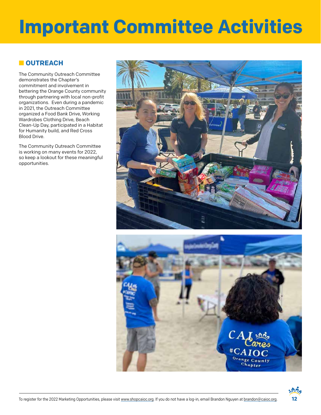# **Important Committee Activities**

#### **n** OUTREACH

The Community Outreach Committee demonstrates the Chapter's commitment and involvement in bettering the Orange County community through partnering with local non-profit organizations. Even during a pandemic in 2021, the Outreach Committee organized a Food Bank Drive, Working Wardrobes Clothing Drive, Beach Clean-Up Day, participated in a Habitat for Humanity build, and Red Cross Blood Drive.

The Community Outreach Committee is working on many events for 2022, so keep a lookout for these meaningful opportunities.





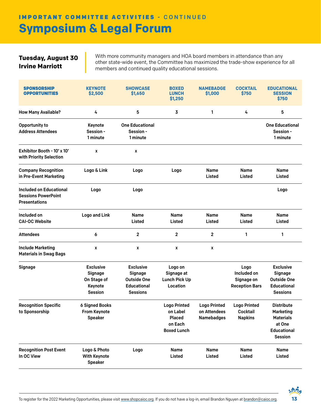# **Symposium & Legal Forum** IMPORTANT COMMITTEE ACTIVITIES - CONTINUED

#### **Tuesday, August 30 Irvine Marriott**

With more community managers and HOA board members in attendance than any other state-wide event, the Committee has maximized the trade-show experience for all members and continued quality educational sessions.

| <b>SPONSORSHIP</b><br><b>OPPORTUNITIES</b>                                           | <b>KEYNOTE</b><br>\$2,500                                               | <b>SHOWCASE</b><br>\$1,650                                                                 | <b>BOXED</b><br><b>LUNCH</b><br>\$1,250                                           | <b>NAMEBADGE</b><br>\$1,000                              | <b>COCKTAIL</b><br>\$750                                   | <b>EDUCATIONAL</b><br><b>SESSION</b><br>\$750                                                               |
|--------------------------------------------------------------------------------------|-------------------------------------------------------------------------|--------------------------------------------------------------------------------------------|-----------------------------------------------------------------------------------|----------------------------------------------------------|------------------------------------------------------------|-------------------------------------------------------------------------------------------------------------|
| <b>How Many Available?</b>                                                           | 4                                                                       | 5                                                                                          | 3                                                                                 | 1                                                        | 4                                                          | 5                                                                                                           |
| Opportunity to<br><b>Address Attendees</b>                                           | Keynote<br>Session -<br>1 minute                                        | <b>One Educational</b><br>Session -<br>1 minute                                            |                                                                                   |                                                          |                                                            | <b>One Educational</b><br>Session -<br>1 minute                                                             |
| Exhibitor Booth - 10' x 10'<br>with Priority Selection                               | X                                                                       | X                                                                                          |                                                                                   |                                                          |                                                            |                                                                                                             |
| <b>Company Recognition</b><br>in Pre-Event Marketing                                 | Logo & Link                                                             | Logo                                                                                       | Logo                                                                              | <b>Name</b><br>Listed                                    | <b>Name</b><br>Listed                                      | <b>Name</b><br>Listed                                                                                       |
| <b>Included on Educational</b><br><b>Sessions PowerPoint</b><br><b>Presentations</b> | Logo                                                                    | Logo                                                                                       |                                                                                   |                                                          |                                                            | Logo                                                                                                        |
| Included on<br><b>CAI-OC Website</b>                                                 | <b>Logo and Link</b>                                                    | Name<br>Listed                                                                             | Name<br>Listed                                                                    | <b>Name</b><br>Listed                                    | Name<br>Listed                                             | Name<br>Listed                                                                                              |
| <b>Attendees</b>                                                                     | 6                                                                       | $\overline{2}$                                                                             | $\overline{2}$                                                                    | $\overline{2}$                                           | 1                                                          | 1                                                                                                           |
| <b>Include Marketing</b><br><b>Materials in Swag Bags</b>                            | X                                                                       | X                                                                                          | X                                                                                 | X                                                        |                                                            |                                                                                                             |
| Signage                                                                              | <b>Exclusive</b><br>Signage<br>On Stage of<br>Keynote<br><b>Session</b> | <b>Exclusive</b><br>Signage<br><b>Outside One</b><br><b>Educational</b><br><b>Sessions</b> | Logo on<br>Signage at<br><b>Lunch Pick Up</b><br>Location                         |                                                          | Logo<br>Included on<br>Signage on<br><b>Reception Bars</b> | <b>Exclusive</b><br><b>Signage</b><br><b>Outside One</b><br><b>Educational</b><br><b>Sessions</b>           |
| <b>Recognition Specific</b><br>to Sponsorship                                        | <b>6 Signed Books</b><br><b>From Keynote</b><br><b>Speaker</b>          |                                                                                            | <b>Logo Printed</b><br>on Label<br><b>Placed</b><br>on Each<br><b>Boxed Lunch</b> | <b>Logo Printed</b><br>on Attendees<br><b>Namebadges</b> | <b>Logo Printed</b><br><b>Cocktail</b><br><b>Napkins</b>   | <b>Distribute</b><br><b>Marketing</b><br><b>Materials</b><br>at One<br><b>Educational</b><br><b>Session</b> |
| <b>Recognition Post Event</b><br>In OC View                                          | Logo & Photo<br><b>With Keynote</b><br><b>Speaker</b>                   | Logo                                                                                       | Name<br>Listed                                                                    | Name<br>Listed                                           | Name<br>Listed                                             | Name<br>Listed                                                                                              |

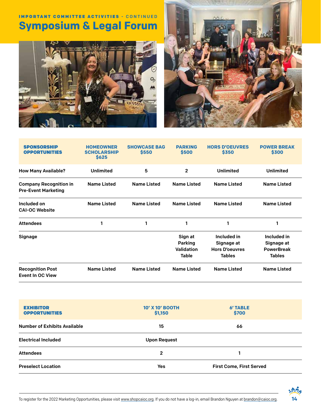# **Symposium & Legal Forum** IMPORTANT COMMITTEE ACTIVITIES - CONTINUED





| <b>SPONSORSHIP</b><br><b>OPPORTUNITIES</b>                  | <b>HOMEOWNER</b><br><b>SCHOLARSHIP</b><br>\$625 | <b>SHOWCASE BAG</b><br>\$550 | <b>PARKING</b><br>\$500                                 | <b>HORS D'OEUVRES</b><br>\$350                                      | <b>POWER BREAK</b><br>\$300                                     |
|-------------------------------------------------------------|-------------------------------------------------|------------------------------|---------------------------------------------------------|---------------------------------------------------------------------|-----------------------------------------------------------------|
| <b>How Many Available?</b>                                  | <b>Unlimited</b>                                | 5                            | $\overline{2}$                                          | <b>Unlimited</b>                                                    | <b>Unlimited</b>                                                |
| <b>Company Recognition in</b><br><b>Pre-Event Marketing</b> | <b>Name Listed</b>                              | <b>Name Listed</b>           | <b>Name Listed</b>                                      | <b>Name Listed</b>                                                  | <b>Name Listed</b>                                              |
| Included on<br><b>CAI-OC Website</b>                        | <b>Name Listed</b>                              | <b>Name Listed</b>           | <b>Name Listed</b>                                      | <b>Name Listed</b>                                                  | <b>Name Listed</b>                                              |
| <b>Attendees</b>                                            |                                                 | 1                            | 1                                                       |                                                                     | 1                                                               |
| Signage                                                     |                                                 |                              | Sign at<br><b>Parking</b><br><b>Validation</b><br>Table | Included in<br>Signage at<br><b>Hors D'oeuvres</b><br><b>Tables</b> | Included in<br>Signage at<br><b>PowerBreak</b><br><b>Tables</b> |
| <b>Recognition Post</b><br><b>Event In OC View</b>          | <b>Name Listed</b>                              | <b>Name Listed</b>           | <b>Name Listed</b>                                      | <b>Name Listed</b>                                                  | <b>Name Listed</b>                                              |

| <b>EXHIBITOR</b><br><b>OPPORTUNITIES</b> | <b>10' X 10' BOOTH</b><br>\$1,150 | <b>6' TABLE</b><br>\$700        |
|------------------------------------------|-----------------------------------|---------------------------------|
| <b>Number of Exhibits Available</b>      | 15                                | 66                              |
| <b>Electrical Included</b>               | <b>Upon Request</b>               |                                 |
| <b>Attendees</b>                         | 2                                 |                                 |
| <b>Preselect Location</b>                | Yes                               | <b>First Come, First Served</b> |

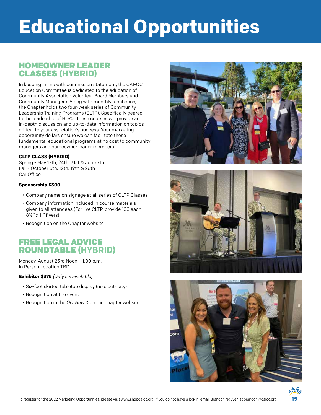# **Educational Opportunities**

# HOMEOWNER LEADER CLASSES **(HYBRID)**

In keeping in line with our mission statement, the CAI-OC Education Committee is dedicated to the education of Community Association Volunteer Board Members and Community Managers. Along with monthly luncheons, the Chapter holds two four-week series of Community Leadership Training Programs (CLTP). Specifically geared to the leadership of HOA's, these courses will provide an in-depth discussion and up-to-date information on topics critical to your association's success. Your marketing opportunity dollars ensure we can facilitate these fundamental educational programs at no cost to community managers and homeowner leader members.

#### **CLTP CLASS (HYBRID)**

Spring - May 17th, 24th, 31st & June 7th Fall - October 5th, 12th, 19th & 26th CAI Office

#### **Sponsorship \$300**

- Company name on signage at all series of CLTP Classes
- Company information included in course materials given to all attendees (For live CLTP, provide 100 each 8½" x 11" flyers)
- Recognition on the Chapter website

# FREE LEGAL ADVICE ROUNDTABLE **(HYBRID)**

Monday, August 23rd Noon – 1:00 p.m. In Person Location TBD

**Exhibitor \$375** *(Only six available)*

- Six-foot skirted tabletop display (no electricity)
- Recognition at the event
- Recognition in the *OC View* & on the chapter website







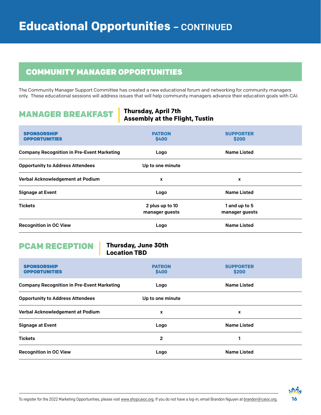# COMMUNITY MANAGER OPPORTUNITIES

The Community Manager Support Committee has created a new educational forum and networking for community managers only. These educational sessions will address issues that will help community managers advance their education goals with CAI.

# MANAGER BREAKFAST

#### **Thursday, April 7th Assembly at the Flight, Tustin**

| <b>SPONSORSHIP</b><br><b>OPPORTUNITIES</b>        | <b>PATRON</b><br>\$400            | <b>SUPPORTER</b><br>\$200       |  |
|---------------------------------------------------|-----------------------------------|---------------------------------|--|
| <b>Company Recognition in Pre-Event Marketing</b> | Logo                              | <b>Name Listed</b>              |  |
| <b>Opportunity to Address Attendees</b>           | Up to one minute                  |                                 |  |
| Verbal Acknowledgement at Podium                  | x                                 | x                               |  |
| <b>Signage at Event</b>                           | Logo                              | <b>Name Listed</b>              |  |
| <b>Tickets</b>                                    | 2 plus up to 10<br>manager guests | 1 and up to 5<br>manager guests |  |
| <b>Recognition in OC View</b>                     | Logo                              | <b>Name Listed</b>              |  |

# PCAM RECEPTION

#### **Thursday, June 30th Location TBD**

| <b>SPONSORSHIP</b><br><b>OPPORTUNITIES</b>        | <b>PATRON</b><br>\$400 | <b>SUPPORTER</b><br>\$200 |
|---------------------------------------------------|------------------------|---------------------------|
| <b>Company Recognition in Pre-Event Marketing</b> | Logo                   | <b>Name Listed</b>        |
| <b>Opportunity to Address Attendees</b>           | Up to one minute       |                           |
| Verbal Acknowledgement at Podium                  | x                      | X                         |
| <b>Signage at Event</b>                           | Logo                   | <b>Name Listed</b>        |
| <b>Tickets</b>                                    | 2                      |                           |
| <b>Recognition in OC View</b>                     | Logo                   | <b>Name Listed</b>        |

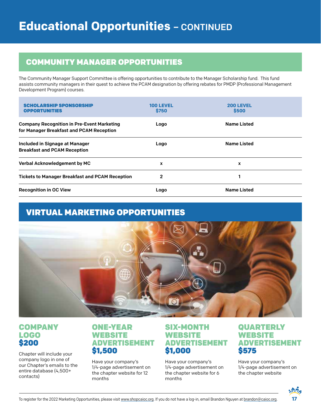# COMMUNITY MANAGER OPPORTUNITIES

The Community Manager Support Committee is offering opportunities to contribute to the Manager Scholarship fund. This fund assists community managers in their quest to achieve the PCAM designation by offering rebates for PMDP (Professional Management Development Program) courses.

| <b>SCHOLARSHIP SPONSORSHIP</b><br><b>OPPORTUNITIES</b>                                        | <b>100 LEVEL</b><br>\$750 | <b>200 LEVEL</b><br>\$500 |
|-----------------------------------------------------------------------------------------------|---------------------------|---------------------------|
| <b>Company Recognition in Pre-Event Marketing</b><br>for Manager Breakfast and PCAM Reception | Logo                      | <b>Name Listed</b>        |
| Included in Signage at Manager<br><b>Breakfast and PCAM Reception</b>                         | Logo                      | <b>Name Listed</b>        |
| <b>Verbal Acknowledgement by MC</b>                                                           | X                         | X                         |
| <b>Tickets to Manager Breakfast and PCAM Reception</b>                                        | 2                         |                           |
| <b>Recognition in OC View</b>                                                                 | Logo                      | <b>Name Listed</b>        |

# VIRTUAL MARKETING OPPORTUNITIES



### **COMPANY** LOGO \$200

Chapter will include your company logo in one of our Chapter's emails to the entire database (4,500+ contacts)

## ONE-YEAR WEBSITE ADVERTISEMENT \$1,500

Have your company's 1/4-page advertisement on the chapter website for 12 months

## SIX-MONTH WEBSITE ADVERTISEMENT \$1,000

Have your company's 1/4-page advertisement on the chapter website for 6 months

## **QUARTERLY WEBSITE** ADVERTISEMENT \$575

Have your company's 1/4-page advertisement on the chapter website

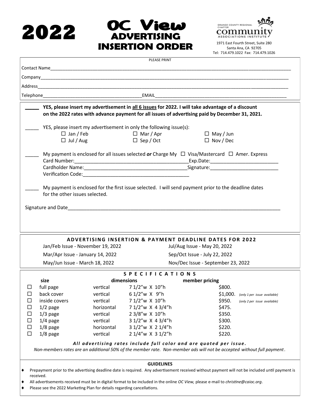# **2022**





Tel: 714.479.1022 Fax: 714.479.1026

|                                                                                                                                                                                                                                          | <b>PLEASE PRINT</b>                                                |                                                                                                                                                 |  |  |
|------------------------------------------------------------------------------------------------------------------------------------------------------------------------------------------------------------------------------------------|--------------------------------------------------------------------|-------------------------------------------------------------------------------------------------------------------------------------------------|--|--|
|                                                                                                                                                                                                                                          |                                                                    |                                                                                                                                                 |  |  |
|                                                                                                                                                                                                                                          |                                                                    |                                                                                                                                                 |  |  |
|                                                                                                                                                                                                                                          |                                                                    |                                                                                                                                                 |  |  |
|                                                                                                                                                                                                                                          |                                                                    |                                                                                                                                                 |  |  |
| YES, please insert my advertisement in all 6 issues for 2022. I will take advantage of a discount<br>on the 2022 rates with advance payment for all issues of advertising paid by December 31, 2021.                                     |                                                                    |                                                                                                                                                 |  |  |
| YES, please insert my advertisement in only the following issue(s):<br>$\Box$ Jan / Feb<br>$\Box$ Jul / Aug                                                                                                                              | $\Box$ Mar / Apr<br>$\Box$ Sep / Oct                               | $\Box$ May / Jun<br>$\Box$ Nov / Dec                                                                                                            |  |  |
| My payment is enclosed for all issues selected or Charge My $\Box$ Visa/Mastercard $\Box$ Amer. Express                                                                                                                                  |                                                                    |                                                                                                                                                 |  |  |
|                                                                                                                                                                                                                                          |                                                                    |                                                                                                                                                 |  |  |
|                                                                                                                                                                                                                                          |                                                                    |                                                                                                                                                 |  |  |
| My payment is enclosed for the first issue selected. I will send payment prior to the deadline dates<br>for the other issues selected.                                                                                                   |                                                                    |                                                                                                                                                 |  |  |
|                                                                                                                                                                                                                                          | <b>ADVERTISING INSERTION &amp; PAYMENT DEADLINE DATES FOR 2022</b> |                                                                                                                                                 |  |  |
| Jan/Feb Issue - November 19, 2022                                                                                                                                                                                                        |                                                                    | Jul/Aug Issue - May 20, 2022                                                                                                                    |  |  |
| Mar/Apr Issue - January 14, 2022                                                                                                                                                                                                         |                                                                    | Sep/Oct Issue - July 22, 2022                                                                                                                   |  |  |
| May/Jun Issue - March 18, 2022                                                                                                                                                                                                           |                                                                    | Nov/Dec Issue - September 23, 2022                                                                                                              |  |  |
|                                                                                                                                                                                                                                          |                                                                    |                                                                                                                                                 |  |  |
| size                                                                                                                                                                                                                                     | <b>SPECIFICATIONS</b><br>dimensions                                | member pricing                                                                                                                                  |  |  |
| full page<br>ப                                                                                                                                                                                                                           | vertical 7 1/2"w X 10"h                                            | \$800.                                                                                                                                          |  |  |
| back cover<br>$\Box$                                                                                                                                                                                                                     | vertical $61/2''w \times 9''h$                                     | $$1,000.$ (only 1 per issue available)                                                                                                          |  |  |
| $\Box$<br>inside covers<br>vertical                                                                                                                                                                                                      | 7 1/2"w X 10"h                                                     | \$950.<br>(only 2 per issue available)                                                                                                          |  |  |
| $1/2$ page<br>horizontal<br>$\Box$                                                                                                                                                                                                       | 7 1/2"w X 4 3/4"h                                                  | \$475.                                                                                                                                          |  |  |
| $1/3$ page<br>$\Box$<br>vertical                                                                                                                                                                                                         | 23/8"w X 10"h                                                      | \$350.                                                                                                                                          |  |  |
| $\Box$<br>$1/4$ page<br>vertical                                                                                                                                                                                                         | 3 1/2"w X 4 3/4"h                                                  | \$300.                                                                                                                                          |  |  |
| $\Box$<br>$1/8$ page<br>horizontal                                                                                                                                                                                                       | 3 1/2"w X 2 1/4"h                                                  | \$220.                                                                                                                                          |  |  |
| $\Box$<br>$1/8$ page<br>vertical                                                                                                                                                                                                         | 2 1/4"w X 3 1/2"h                                                  | \$220.                                                                                                                                          |  |  |
| All advertising rates include full color and are quoted per issue.<br>Non-members rates are an additional 50% of the member rate. Non-member ads will not be accepted without full payment.                                              |                                                                    |                                                                                                                                                 |  |  |
|                                                                                                                                                                                                                                          | <b>GUIDELINES</b>                                                  |                                                                                                                                                 |  |  |
| ٠<br>received.<br>All advertisements received must be in digital format to be included in the online OC View, please e-mail to christine@caioc.org.<br>٠<br>Please see the 2022 Marketing Plan for details regarding cancellations.<br>٠ |                                                                    | Prepayment prior to the advertising deadline date is required. Any advertisement received without payment will not be included until payment is |  |  |